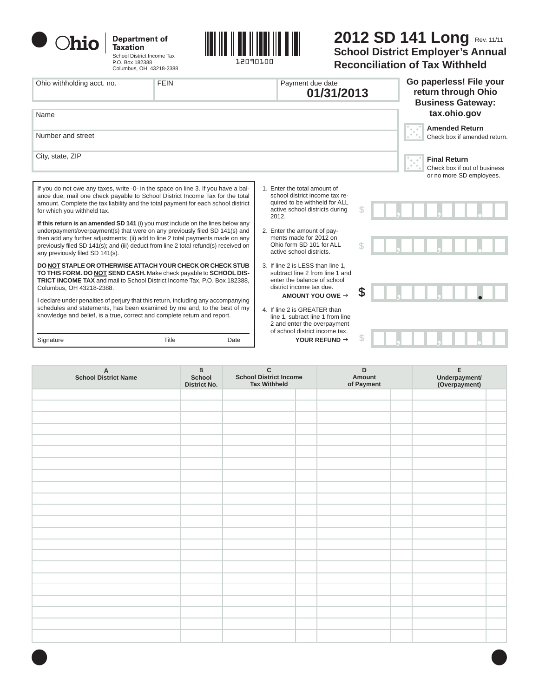

|  | Department of<br>Taxation                     |  |  |  |  |  |  |
|--|-----------------------------------------------|--|--|--|--|--|--|
|  | School District Income Tax<br>P.O. Box 182388 |  |  |  |  |  |  |

Columbus, OH 43218-2388

12090100

## **2012 SD 141 Long** Rev. 11/11

**School District Employer's Annual Reconciliation of Tax Withheld**

| Ohio withholding acct. no.<br>Name                                                                                                                                                                                                                                                                                                                                             | <b>FEIN</b>  |                                                       | Payment due date<br>01/31/2013                                                                                                                                  | Go paperless! File your<br>return through Ohio<br><b>Business Gateway:</b><br>tax.ohio.gov |              |                                                                                 |  |
|--------------------------------------------------------------------------------------------------------------------------------------------------------------------------------------------------------------------------------------------------------------------------------------------------------------------------------------------------------------------------------|--------------|-------------------------------------------------------|-----------------------------------------------------------------------------------------------------------------------------------------------------------------|--------------------------------------------------------------------------------------------|--------------|---------------------------------------------------------------------------------|--|
| Number and street                                                                                                                                                                                                                                                                                                                                                              |              | <b>Amended Return</b><br>Check box if amended return. |                                                                                                                                                                 |                                                                                            |              |                                                                                 |  |
| City, state, ZIP                                                                                                                                                                                                                                                                                                                                                               |              |                                                       |                                                                                                                                                                 |                                                                                            | $0 \qquad 0$ | <b>Final Return</b><br>Check box if out of business<br>or no more SD employees. |  |
| If you do not owe any taxes, write -0- in the space on line 3. If you have a bal-<br>ance due, mail one check payable to School District Income Tax for the total<br>amount. Complete the tax liability and the total payment for each school district<br>for which you withheld tax.                                                                                          |              |                                                       |                                                                                                                                                                 |                                                                                            |              |                                                                                 |  |
| If this return is an amended SD 141 (i) you must include on the lines below any<br>underpayment/overpayment(s) that were on any previously filed SD 141(s) and<br>then add any further adjustments; (ii) add to line 2 total payments made on any<br>previously filed SD 141(s); and (iii) deduct from line 2 total refund(s) received on<br>any previously filed SD 141(s).   |              |                                                       | 2012.<br>2. Enter the amount of pay-<br>ments made for 2012 on<br>Ohio form SD 101 for ALL<br>active school districts.                                          | \$                                                                                         |              |                                                                                 |  |
| DO NOT STAPLE OR OTHERWISE ATTACH YOUR CHECK OR CHECK STUB<br>TO THIS FORM. DO NOT SEND CASH. Make check payable to SCHOOL DIS-<br><b>TRICT INCOME TAX</b> and mail to School District Income Tax, P.O. Box 182388,<br>Columbus, OH 43218-2388.                                                                                                                                |              |                                                       | 3. If line 2 is LESS than line 1.<br>subtract line 2 from line 1 and<br>enter the balance of school<br>district income tax due.<br>AMOUNT YOU OWE $\rightarrow$ | \$                                                                                         |              |                                                                                 |  |
| I declare under penalties of perjury that this return, including any accompanying<br>schedules and statements, has been examined by me and, to the best of my<br>4. If line 2 is GREATER than<br>knowledge and belief, is a true, correct and complete return and report.<br>line 1, subract line 1 from line<br>2 and enter the overpayment<br>of school district income tax. |              |                                                       |                                                                                                                                                                 |                                                                                            |              |                                                                                 |  |
| Signature                                                                                                                                                                                                                                                                                                                                                                      | <b>Title</b> | Date                                                  | YOUR REFUND $\rightarrow$                                                                                                                                       | \$                                                                                         |              |                                                                                 |  |

| A<br>School District Name | $\, {\bf B}$<br>School<br><b>District No.</b> | ${\bf c}$<br><b>School District Income</b><br><b>Tax Withheld</b> |  | D<br>Amount<br>of Payment | E<br>Underpayment/<br>(Overpayment) |  |
|---------------------------|-----------------------------------------------|-------------------------------------------------------------------|--|---------------------------|-------------------------------------|--|
|                           |                                               |                                                                   |  |                           |                                     |  |
|                           |                                               |                                                                   |  |                           |                                     |  |
|                           |                                               |                                                                   |  |                           |                                     |  |
|                           |                                               |                                                                   |  |                           |                                     |  |
|                           |                                               |                                                                   |  |                           |                                     |  |
|                           |                                               |                                                                   |  |                           |                                     |  |
|                           |                                               |                                                                   |  |                           |                                     |  |
|                           |                                               |                                                                   |  |                           |                                     |  |
|                           |                                               |                                                                   |  |                           |                                     |  |
|                           |                                               |                                                                   |  |                           |                                     |  |
|                           |                                               |                                                                   |  |                           |                                     |  |
|                           |                                               |                                                                   |  |                           |                                     |  |
|                           |                                               |                                                                   |  |                           |                                     |  |
|                           |                                               |                                                                   |  |                           |                                     |  |
|                           |                                               |                                                                   |  |                           |                                     |  |
|                           |                                               |                                                                   |  |                           |                                     |  |
|                           |                                               |                                                                   |  |                           |                                     |  |
|                           |                                               |                                                                   |  |                           |                                     |  |
|                           |                                               |                                                                   |  |                           |                                     |  |
|                           |                                               |                                                                   |  |                           |                                     |  |
|                           |                                               |                                                                   |  |                           |                                     |  |
|                           |                                               |                                                                   |  |                           |                                     |  |